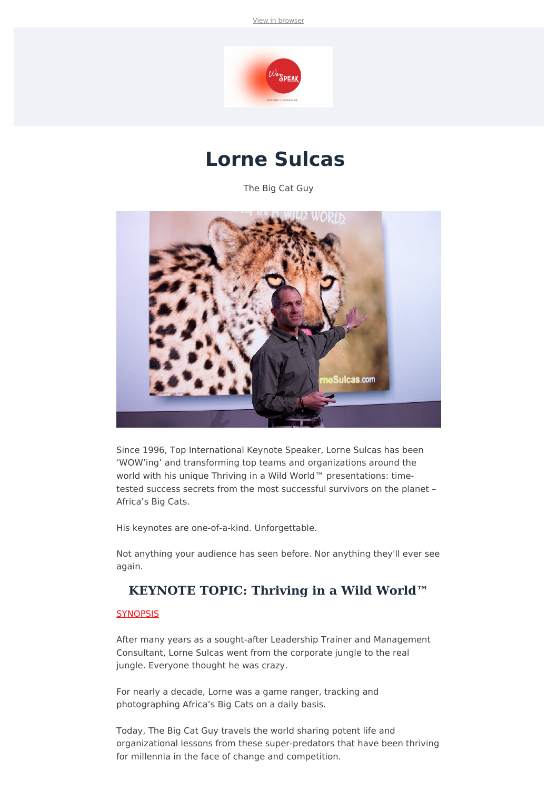View in [browser](file:///var/www/html/public/%7B%7B%20mirror%20%7D%7D)



# **Lorne Sulcas**

The Big Cat Guy



Since 1996, Top International Keynote Speaker, Lorne Sulcas has been 'WOW'ing' and transforming top teams and organizations around the world with his unique Thriving in a Wild World™ presentations: timetested success secrets from the most successful survivors on the planet – Africa's Big Cats.

His keynotes are one-of-a-kind. Unforgettable.

Not anything your audience has seen before. Nor anything they'll ever see again.

## **KEYNOTE TOPIC: Thriving in a Wild World™**

#### **SYNOPSIS**

After many years as a sought-after Leadership Trainer and Management Consultant, Lorne Sulcas went from the corporate jungle to the real jungle. Everyone thought he was crazy.

For nearly a decade, Lorne was a game ranger, tracking and photographing Africa's Big Cats on a daily basis.

Today, The Big Cat Guy travels the world sharing potent life and organizational lessons from these super-predators that have been thriving for millennia in the face of change and competition.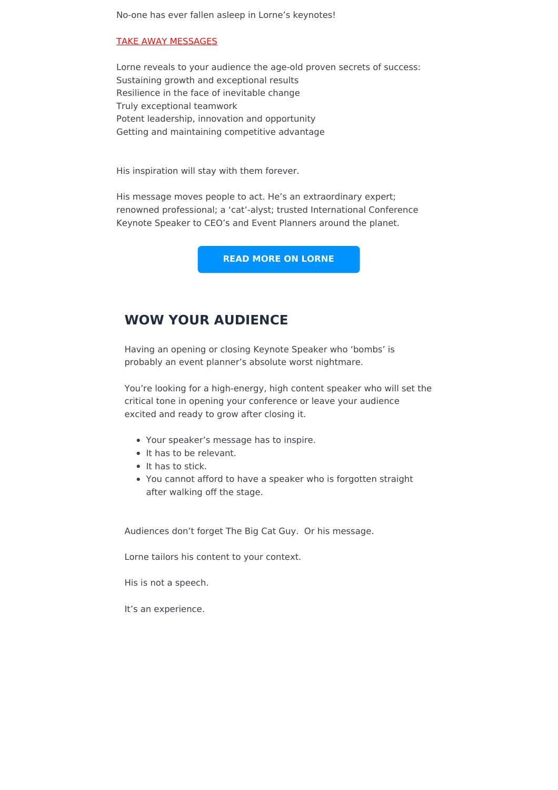No-one has ever fallen asleep in Lorne's keynotes!

#### TAKE AWAY MESSAGES

Lorne reveals to your audience the age-old proven secrets of success: Sustaining growth and exceptional results Resilience in the face of inevitable change Truly exceptional teamwork Potent leadership, innovation and opportunity Getting and maintaining competitive advantage

His inspiration will stay with them forever.

His message moves people to act. He's an extraordinary expert; renowned professional; a 'cat'-alyst; trusted International Conference Keynote Speaker to CEO's and Event Planners around the planet.

**READ MORE ON [LORNE](https://app.motiv8rs.com/listing/lorne-sulcas-the-big-cat-guy/)**

### **WOW YOUR AUDIENCE**

Having an opening or closing Keynote Speaker who 'bombs' is probably an event planner's absolute worst nightmare.

You're looking for a high-energy, high content speaker who will set the critical tone in opening your conference or leave your audience excited and ready to grow after closing it.

- Your speaker's message has to inspire.
- It has to be relevant.
- It has to stick.
- You cannot afford to have a speaker who is forgotten straight after walking off the stage.

Audiences don't forget The Big Cat Guy. Or his message.

Lorne tailors his content to your context.

His is not a speech.

It's an experience.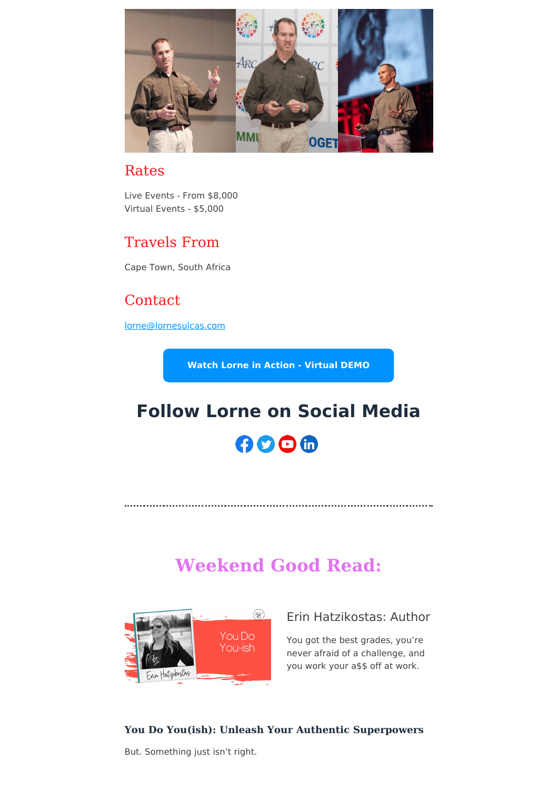

## Rates

Live Events - From \$8,000 Virtual Events - \$5,000

## Travels From

Cape Town, South Africa

# **Contact**

[lorne@lornesulcas.com](mailto:lorne@lornesulcas.com?subject=WeSpeak%20Global%20Enquiry)

**Watch Lorne in Action - [Virtual](https://vimeo.com/596398701) DEMO**

# **Follow Lorne on Social Media**

# AOOM

# **Weekend Good Read:**



## Erin Hatzikostas: Author

You got the best grades, you're never afraid of a challenge, and you work your a\$\$ off at work.

#### **You Do You(ish): Unleash Your Authentic Superpowers**

But. Something just isn't right.